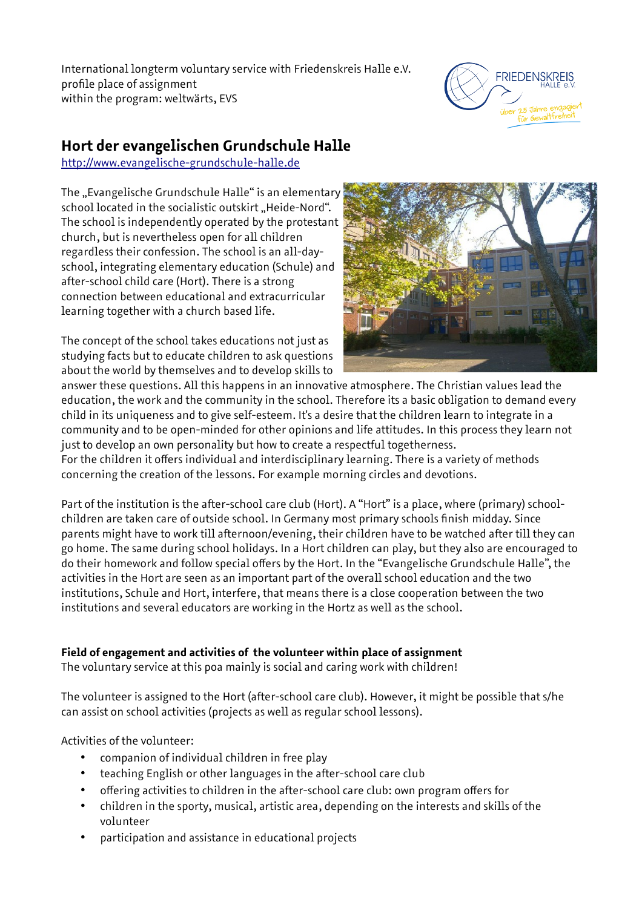International longterm voluntary service with Friedenskreis Halle e.V. profile place of assignment within the program: weltwärts, EVS



# **Hort der evangelischen Grundschule Halle**

[http://www.evangelische-grundschule-halle.de](http://www.evangelische-grundschule-halle.de/)

The "Evangelische Grundschule Halle" is an elementary school located in the socialistic outskirt "Heide-Nord". The school is independently operated by the protestant church, but is nevertheless open for all children regardless their confession. The school is an all-dayschool, integrating elementary education (Schule) and after-school child care (Hort). There is a strong connection between educational and extracurricular learning together with a church based life.

The concept of the school takes educations not just as studying facts but to educate children to ask questions about the world by themselves and to develop skills to



answer these questions. All this happens in an innovative atmosphere. The Christian values lead the education, the work and the community in the school. Therefore its a basic obligation to demand every child in its uniqueness and to give self-esteem. It's a desire that the children learn to integrate in a community and to be open-minded for other opinions and life attitudes. In this process they learn not just to develop an own personality but how to create a respectful togetherness.

For the children it offers individual and interdisciplinary learning. There is a variety of methods concerning the creation of the lessons. For example morning circles and devotions.

Part of the institution is the after-school care club (Hort). A "Hort" is a place, where (primary) schoolchildren are taken care of outside school. In Germany most primary schools finish midday. Since parents might have to work till afternoon/evening, their children have to be watched after till they can go home. The same during school holidays. In a Hort children can play, but they also are encouraged to do their homework and follow special offers by the Hort. In the "Evangelische Grundschule Halle", the activities in the Hort are seen as an important part of the overall school education and the two institutions, Schule and Hort, interfere, that means there is a close cooperation between the two institutions and several educators are working in the Hortz as well as the school.

# **Field of engagement and activities of the volunteer within place of assignment**

The voluntary service at this poa mainly is social and caring work with children!

The volunteer is assigned to the Hort (after-school care club). However, it might be possible that s/he can assist on school activities (projects as well as regular school lessons).

Activities of the volunteer:

- companion of individual children in free play
- teaching English or other languages in the after-school care club
- offering activities to children in the after-school care club: own program offers for
- children in the sporty, musical, artistic area, depending on the interests and skills of the volunteer
- participation and assistance in educational projects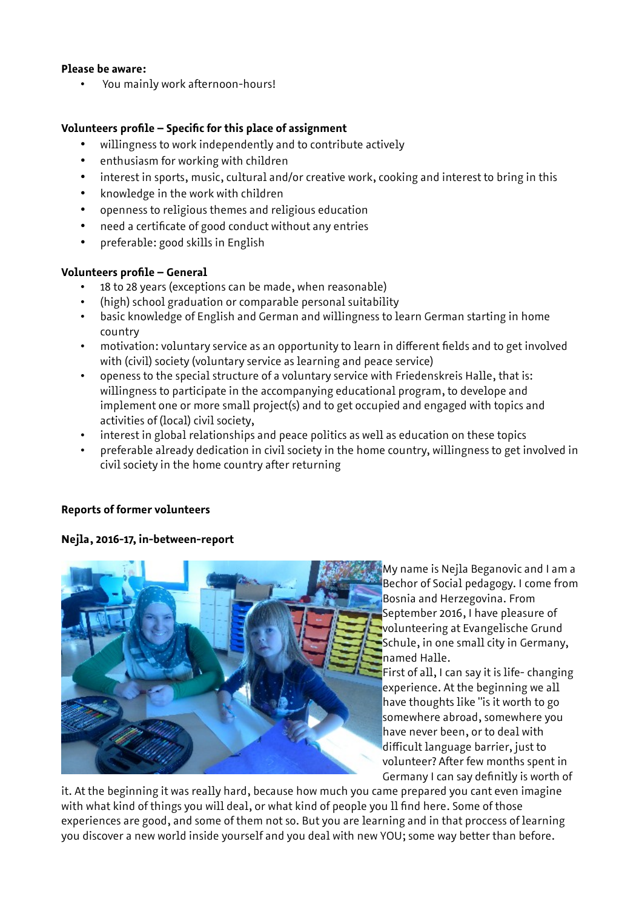#### **Please be aware:**

• You mainly work afternoon-hours!

# **Volunteers profile – Specific for this place of assignment**

- willingness to work independently and to contribute actively
- enthusiasm for working with children
- interest in sports, music, cultural and/or creative work, cooking and interest to bring in this
- knowledge in the work with children
- openness to religious themes and religious education
- need a certificate of good conduct without any entries
- preferable: good skills in English

# **Volunteers profile – General**

- 18 to 28 years (exceptions can be made, when reasonable)
- (high) school graduation or comparable personal suitability
- basic knowledge of English and German and willingness to learn German starting in home country
- motivation: voluntary service as an opportunity to learn in different fields and to get involved with (civil) society (voluntary service as learning and peace service)
- openess to the special structure of a voluntary service with Friedenskreis Halle, that is: willingness to participate in the accompanying educational program, to develope and implement one or more small project(s) and to get occupied and engaged with topics and activities of (local) civil society,
- interest in global relationships and peace politics as well as education on these topics
- preferable already dedication in civil society in the home country, willingness to get involved in civil society in the home country after returning

#### **Reports of former volunteers**

#### **Nejla, 2016-17, in-between-report**



My name is Nejla Beganovic and I am a Bechor of Social pedagogy. I come from Bosnia and Herzegovina. From September 2016, I have pleasure of volunteering at Evangelische Grund Schule, in one small city in Germany, named Halle.

First of all, I can say it is life- changing experience. At the beginning we all have thoughts like "is it worth to go somewhere abroad, somewhere you have never been, or to deal with difficult language barrier, just to volunteer? After few months spent in Germany I can say definitly is worth of

it. At the beginning it was really hard, because how much you came prepared you cant even imagine with what kind of things you will deal, or what kind of people you ll find here. Some of those experiences are good, and some of them not so. But you are learning and in that proccess of learning you discover a new world inside yourself and you deal with new YOU; some way better than before.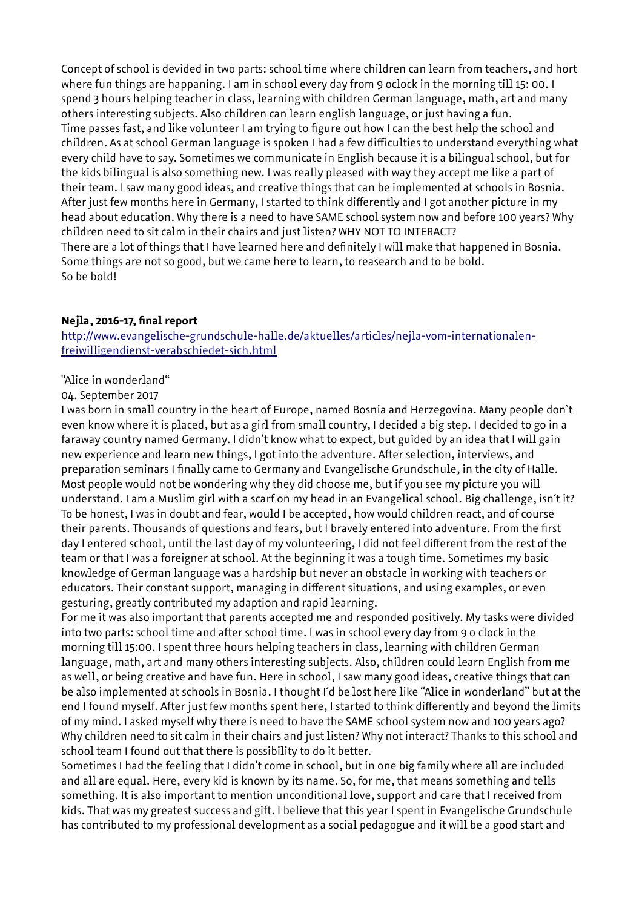Concept of school is devided in two parts: school time where children can learn from teachers, and hort where fun things are happaning. I am in school every day from 9 oclock in the morning till 15: 00. I spend 3 hours helping teacher in class, learning with children German language, math, art and many others interesting subjects. Also children can learn english language, or just having a fun. Time passes fast, and like volunteer I am trying to figure out how I can the best help the school and children. As at school German language is spoken I had a few difficulties to understand everything what every child have to say. Sometimes we communicate in English because it is a bilingual school, but for the kids bilingual is also something new. I was really pleased with way they accept me like a part of their team. I saw many good ideas, and creative things that can be implemented at schools in Bosnia. After just few months here in Germany, I started to think differently and I got another picture in my head about education. Why there is a need to have SAME school system now and before 100 years? Why children need to sit calm in their chairs and just listen? WHY NOT TO INTERACT? There are a lot of things that I have learned here and definitely I will make that happened in Bosnia. Some things are not so good, but we came here to learn, to reasearch and to be bold. So be bold!

#### **Nejla, 2016-17, final report**

[http://www.evangelische-grundschule-halle.de/aktuelles/articles/nejla-vom-internationalen](http://www.evangelische-grundschule-halle.de/aktuelles/articles/nejla-vom-internationalen-freiwilligendienst-verabschiedet-sich.html)[freiwilligendienst-verabschiedet-sich.html](http://www.evangelische-grundschule-halle.de/aktuelles/articles/nejla-vom-internationalen-freiwilligendienst-verabschiedet-sich.html)

# "Alice in wonderland"

#### 04. September 2017

I was born in small country in the heart of Europe, named Bosnia and Herzegovina. Many people don`t even know where it is placed, but as a girl from small country, I decided a big step. I decided to go in a faraway country named Germany. I didn't know what to expect, but guided by an idea that I will gain new experience and learn new things, I got into the adventure. After selection, interviews, and preparation seminars I finally came to Germany and Evangelische Grundschule, in the city of Halle. Most people would not be wondering why they did choose me, but if you see my picture you will understand. I am a Muslim girl with a scarf on my head in an Evangelical school. Big challenge, isn´t it? To be honest, I was in doubt and fear, would I be accepted, how would children react, and of course their parents. Thousands of questions and fears, but I bravely entered into adventure. From the first day I entered school, until the last day of my volunteering, I did not feel different from the rest of the team or that I was a foreigner at school. At the beginning it was a tough time. Sometimes my basic knowledge of German language was a hardship but never an obstacle in working with teachers or educators. Their constant support, managing in different situations, and using examples, or even gesturing, greatly contributed my adaption and rapid learning.

For me it was also important that parents accepted me and responded positively. My tasks were divided into two parts: school time and after school time. I was in school every day from 9 o clock in the morning till 15:00. I spent three hours helping teachers in class, learning with children German language, math, art and many others interesting subjects. Also, children could learn English from me as well, or being creative and have fun. Here in school, I saw many good ideas, creative things that can be also implemented at schools in Bosnia. I thought I´d be lost here like "Alice in wonderland" but at the end I found myself. After just few months spent here, I started to think differently and beyond the limits of my mind. I asked myself why there is need to have the SAME school system now and 100 years ago? Why children need to sit calm in their chairs and just listen? Why not interact? Thanks to this school and school team I found out that there is possibility to do it better.

Sometimes I had the feeling that I didn't come in school, but in one big family where all are included and all are equal. Here, every kid is known by its name. So, for me, that means something and tells something. It is also important to mention unconditional love, support and care that I received from kids. That was my greatest success and gift. I believe that this year I spent in Evangelische Grundschule has contributed to my professional development as a social pedagogue and it will be a good start and